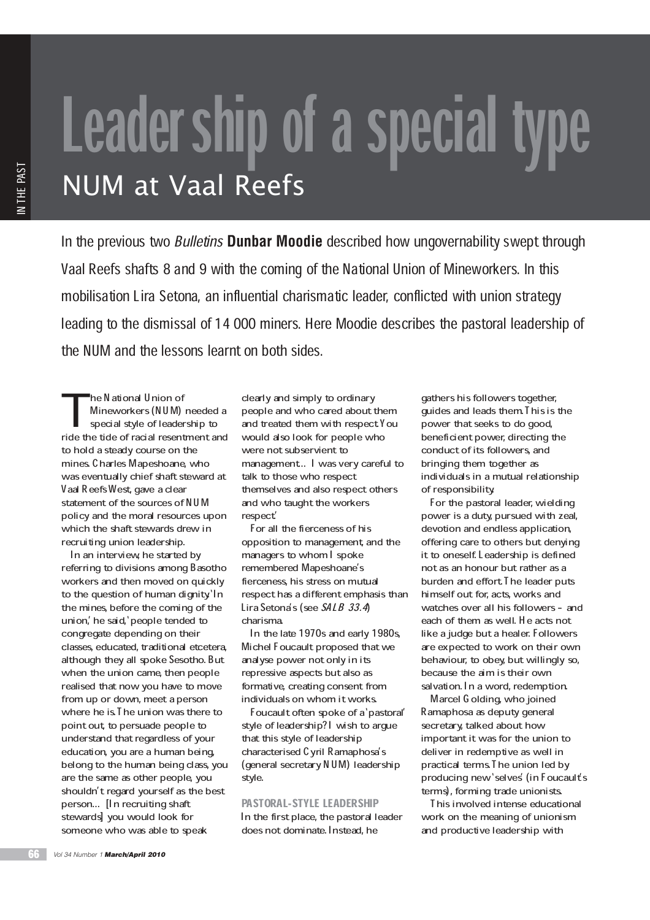## Leader ship of a special type

In the previous two Bulletins **Dunbar Moodie** described how ungovernability swept through Vaal Reefs shafts 8 and 9 with the coming of the National Union of Mineworkers. In this mobilisation Lira Setona, an influential charismatic leader, conflicted with union strategy leading to the dismissal of 14 000 miners. Here Moodie describes the pastoral leadership of the NUM and the lessons learnt on both sides.

T he National Union of Mineworkers (NUM) needed a special style of leadership to ride the tide of racial resentment and to hold a steady course on the mines. Charles Mapeshoane, who was eventually chief shaft steward at Vaal Reefs West, gave a clear statement of the sources of NUM policy and the moral resources upon which the shaft stewards drew in recruiting union leadership.

In an interview, he started by referring to divisions among Basotho workers and then moved on quickly to the question of human dignity. In the mines, before the coming of the union,' he said,' people tended to congregate depending on their classes, educated, traditional etcetera, although they all spoke Sesotho. But when the union came, then people realised that now you have to move from up or down, meet a person where he is I he union was there to point out, to persuade people to understand that regardless of your education, you are a human being, belong to the human being class, you are the same as other people, you shouldn't regard yourself as the best person... [In recruiting shaft stewards] you would look for someone who was able to speak

clearly and simply to ordinary people and who cared about them and treated them with respect. You would also look for people who were not subservient to management.. I was very careful to talk to those who respect themselves and also respect others and who taught the workers respect.'

For all the fierceness of his opposition to management, and the managers to whom I spoke remembered Mapeshoane's fierceness, his stress on mutual respect has a different emphasis than Lira Setona's (see SALB 33.4) charisma.

In the late 1970s and early 1980s, Michel Foucault proposed that we analyse power not only in its repressive aspects but also as formative, creating consent from individuals on whom it works.

Foucault often spoke of a' pastoral' style of leadership? I wish to argue that this style of leadership characterised Cyril Ramaphosa's (general secretary NUM) leadership style.

## PASTORAL-STYLE LEADERSHIP

In the first place, the pastoral leader does not dominate. Instead, he

gathers his followers together, guides and leads them. This is the power that seeks to do good, beneficient power, directing the conduct of its followers, and bringing them together as individuals in a mutual relationship of responsibility.

For the pastoral leader, wielding power is a duty, pursued with zeal, devotion and endless application, offering care to others but denying it to oneself. Leadership is defined not as an honour but rather as a burden and effort. The leader puts himself out for, acts, works and watches over all his followers - and each of them as well. He acts not like a judge but a healer. Followers are expected to work on their own behaviour, to obey, but willingly so, because the aim is their own salvation. In a word, redemption.

Marcel Golding, who joined Ramaphosa as deputy general secretary, talked about how important it was for the union to deliver in redemptive as well in practical terms. The union led by producing new 'selves' (in Foucault's terms), forming trade unionists.

This involved intense educational work on the meaning of unionism and productive leadership with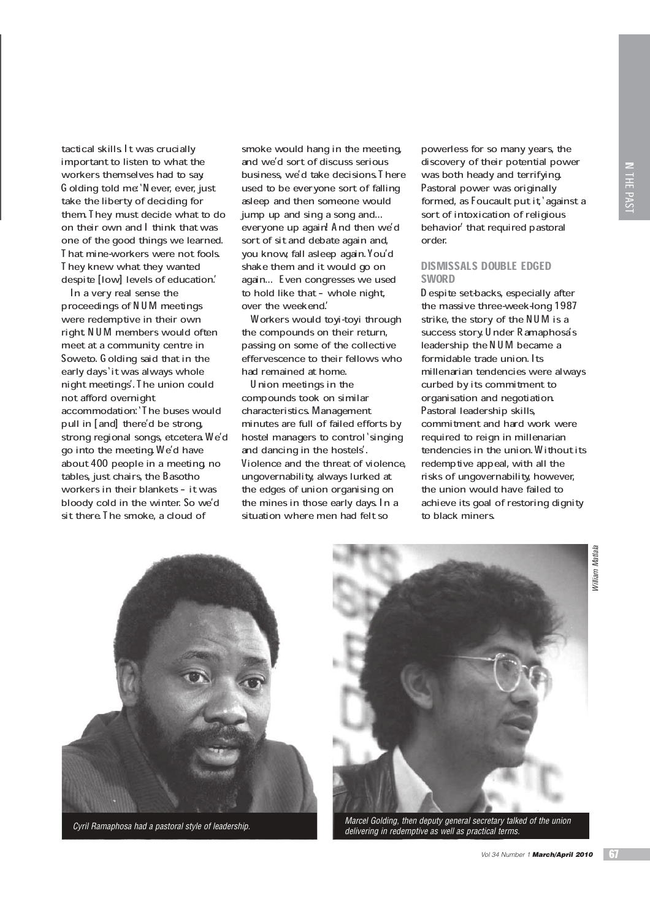tactical skills. It was crucially important to listen to what the workers themselves had to say. Golding told me: `Never, ever, just take the liberty of deciding for them. They must decide what to do on their own and I think that was one of the good things we learned. That mine-workers were not fools. They knew what they wanted despite [low] levels of education.'

In a very real sense the proceedings of NUM meetings were redemptive in their own right. NUM members would often meet at a community centre in Soweto. Golding said that in the early days `it was always whole night meetings'. The union could not afford overnight accommodation: `The buses would pull in [and] there'd be strong, strong regional songs, etcetera We'd go into the meeting. We'd have about 400 people in a meeting, no tables, just chairs, the Basotho workers in their blankets - it was bloody cold in the winter. So we'd sit there. The smoke, a cloud of

smoke would hang in the meeting, and we'd sort of discuss serious business, we'd take decisions. There used to be everyone sort of falling asleep and then someone would jump up and sing a song and... everyone up again! And then we'd sort of sit and debate again and, you know, fall asleep again. You'd shake them and it would go on again... Even congresses we used to hold like that - whole night, over the weekend.'

Workers would toyi-toyi through the compounds on their return, passing on some of the collective effervescence to their fellows who had remained at home.

Union meetings in the compounds took on similar characteristics. Management minutes are full of failed efforts by hostel managers to control singing and dancing in the hostels'. Violence and the threat of violence, ungovernability, always lurked at the edges of union organising on the mines in those early days. In a situation where men had felt so

powerless for so many years, the discovery of their potential power was both heady and terrifying. Pastoral power was originally formed, as Foucault put it, against a sort of intoxication of religious behavior' that required pastoral order.

## DISMISSALS DOUBLE EDGED **SWORD**

Despite set-backs, especially after the massive three-week-long 1987 strike, the story of the NUM is a success story. Under Ramaphosa's leadership the NUM became a formidable trade union. Its millenarian tendencies were always curbed by its commitment to organisation and negotiation. Pastoral leadership skills, commitment and hard work were required to reign in millenarian tendencies in the union. Without its redemptive appeal, with all the risks of ungovernability, however, the union would have failed to achieve its goal of restoring dignity to black miners.



Cyril Ramaphosa had a pastoral style of leadership.



Marcel Golding, then deputy general secretary talked of the union delivering in redemptive as well as practical terms.